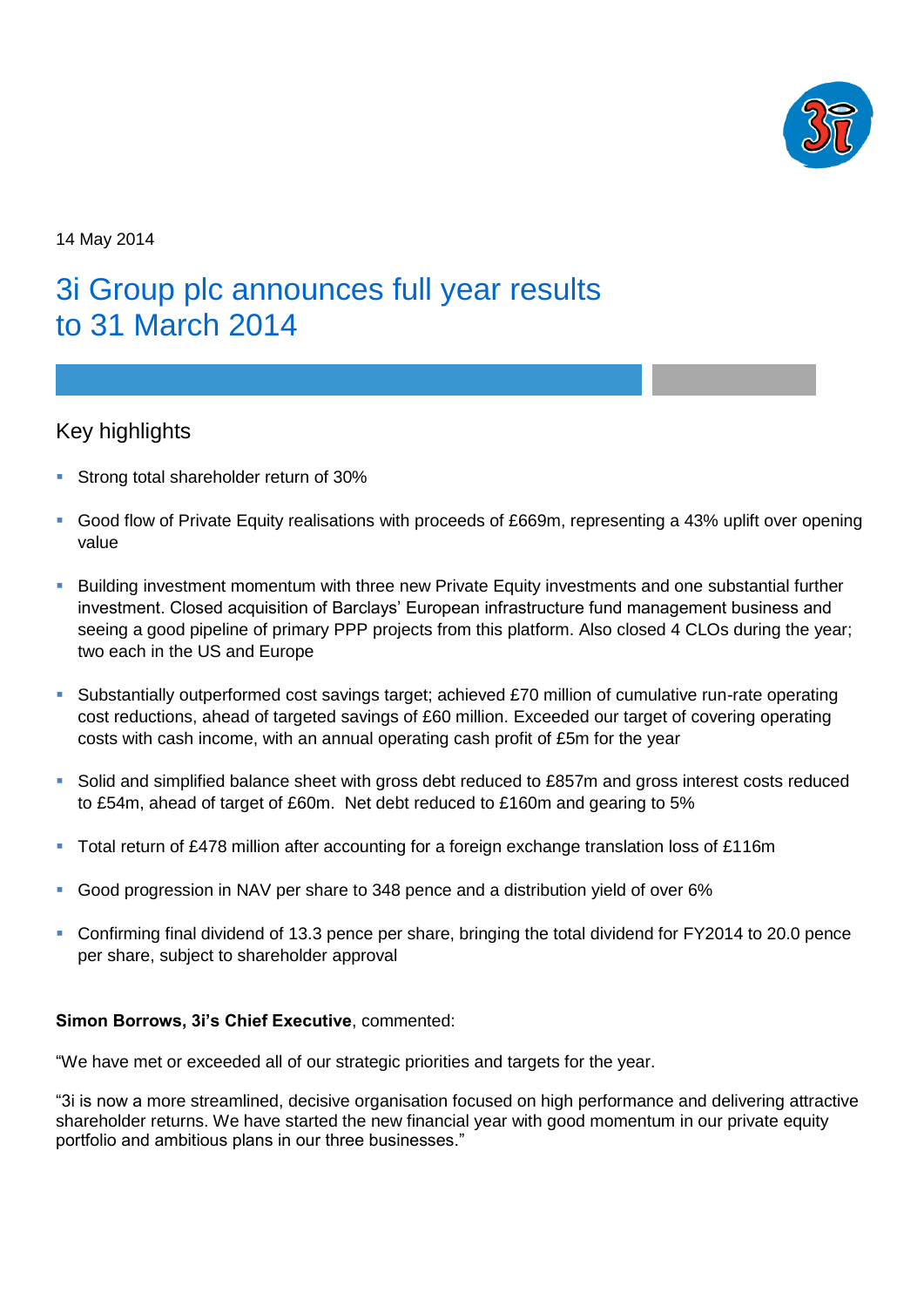

14 May 2014

# 3i Group plc announces full year results to 31 March 2014

# Key highlights

- Strong total shareholder return of 30%
- Good flow of Private Equity realisations with proceeds of £669m, representing a 43% uplift over opening value
- **Building investment momentum with three new Private Equity investments and one substantial further** investment. Closed acquisition of Barclays' European infrastructure fund management business and seeing a good pipeline of primary PPP projects from this platform. Also closed 4 CLOs during the year; two each in the US and Europe
- Substantially outperformed cost savings target; achieved £70 million of cumulative run-rate operating cost reductions, ahead of targeted savings of £60 million. Exceeded our target of covering operating costs with cash income, with an annual operating cash profit of £5m for the year
- Solid and simplified balance sheet with gross debt reduced to £857m and gross interest costs reduced to £54m, ahead of target of £60m. Net debt reduced to £160m and gearing to 5%
- Total return of £478 million after accounting for a foreign exchange translation loss of £116m
- Good progression in NAV per share to 348 pence and a distribution yield of over 6%
- Confirming final dividend of 13.3 pence per share, bringing the total dividend for FY2014 to 20.0 pence per share, subject to shareholder approval

# **Simon Borrows, 3i's Chief Executive**, commented:

"We have met or exceeded all of our strategic priorities and targets for the year.

"3i is now a more streamlined, decisive organisation focused on high performance and delivering attractive shareholder returns. We have started the new financial year with good momentum in our private equity portfolio and ambitious plans in our three businesses."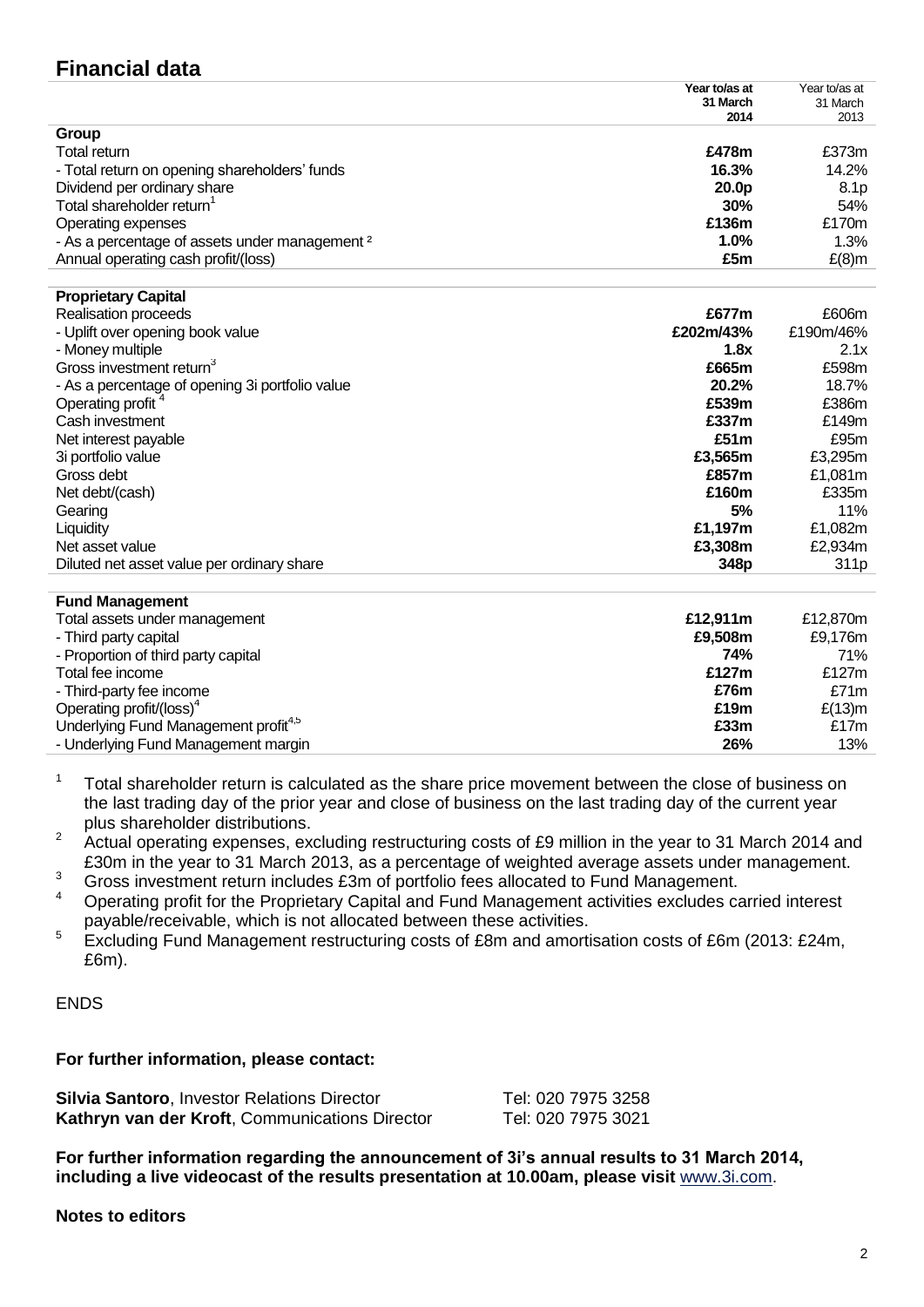# **Financial data**

|                                                           | Year to/as at<br>31 March<br>2014 | Year to/as at<br>31 March<br>2013 |
|-----------------------------------------------------------|-----------------------------------|-----------------------------------|
|                                                           |                                   |                                   |
|                                                           |                                   |                                   |
| Group                                                     |                                   |                                   |
| Total return                                              | £478m                             | £373m                             |
| - Total return on opening shareholders' funds             | 16.3%                             | 14.2%                             |
| Dividend per ordinary share                               | 20.0p                             | 8.1 <sub>p</sub>                  |
| Total shareholder return                                  | 30%                               | 54%                               |
| Operating expenses                                        | £136m                             | £170m                             |
| - As a percentage of assets under management <sup>2</sup> | $1.0\%$                           | $1.3\%$                           |
| Annual operating cash profit/(loss)                       | £5m                               | $E(8)$ m                          |
|                                                           |                                   |                                   |
| <b>Proprietary Capital</b>                                |                                   |                                   |

| £202m/43%<br>- Uplift over opening book value<br>- Money multiple<br>1.8x<br>Gross investment return <sup>3</sup><br>£665m<br>- As a percentage of opening 3i portfolio value<br>20.2%<br>Operating profit <sup>4</sup><br>£539m<br>Cash investment<br>£337m | <b>Realisation proceeds</b> | £677m | £606m            |
|--------------------------------------------------------------------------------------------------------------------------------------------------------------------------------------------------------------------------------------------------------------|-----------------------------|-------|------------------|
|                                                                                                                                                                                                                                                              |                             |       | £190m/46%        |
|                                                                                                                                                                                                                                                              |                             |       | 2.1x             |
|                                                                                                                                                                                                                                                              |                             |       | £598m            |
|                                                                                                                                                                                                                                                              |                             |       | 18.7%            |
|                                                                                                                                                                                                                                                              |                             |       | £386m            |
|                                                                                                                                                                                                                                                              |                             |       | £149m            |
| £51m<br>Net interest payable                                                                                                                                                                                                                                 |                             |       | £95m             |
| 3i portfolio value<br>£3.565m                                                                                                                                                                                                                                |                             |       | £3,295m          |
| Gross debt<br>£857m                                                                                                                                                                                                                                          |                             |       | £1,081m          |
| £160m<br>Net debt/(cash)                                                                                                                                                                                                                                     |                             |       | £335m            |
| 5%<br>Gearing                                                                                                                                                                                                                                                |                             |       | 11%              |
| £1.197m<br>Liquidity                                                                                                                                                                                                                                         |                             |       | £1,082m          |
| £3,308m<br>Net asset value                                                                                                                                                                                                                                   |                             |       | £2,934m          |
| Diluted net asset value per ordinary share<br>348 <sub>p</sub>                                                                                                                                                                                               |                             |       | 311 <sub>p</sub> |

| <b>Fund Management</b>                           |          |           |
|--------------------------------------------------|----------|-----------|
| Total assets under management                    | £12.911m | £12.870m  |
| - Third party capital                            | £9.508m  | £9.176m   |
| - Proportion of third party capital              | 74%      | 71%       |
| Total fee income                                 | £127m    | £127m     |
| - Third-party fee income                         | £76m     | £71m      |
| Operating profit/(loss) <sup>4</sup>             | £19m     | $E(13)$ m |
| Underlying Fund Management profit <sup>4,5</sup> | £33m     | £17 $m$   |
| - Underlying Fund Management margin              | 26%      | 13%       |

- $1$  Total shareholder return is calculated as the share price movement between the close of business on the last trading day of the prior year and close of business on the last trading day of the current year plus shareholder distributions.
- <sup>2</sup> Actual operating expenses, excluding restructuring costs of £9 million in the year to 31 March 2014 and £30m in the year to 31 March 2013, as a percentage of weighted average assets under management.
- <sup>3</sup> Gross investment return includes £3m of portfolio fees allocated to Fund Management.
- <sup>4</sup> Operating profit for the Proprietary Capital and Fund Management activities excludes carried interest payable/receivable, which is not allocated between these activities.
- $5$  Excluding Fund Management restructuring costs of £8m and amortisation costs of £6m (2013: £24m, £6m).

# ENDS

# **For further information, please contact:**

| <b>Silvia Santoro, Investor Relations Director</b> | Tel: 020 7975 3258 |
|----------------------------------------------------|--------------------|
| Kathryn van der Kroft, Communications Director     | Tel: 020 7975 3021 |

**For further information regarding the announcement of 3i's annual results to 31 March 2014, including a live videocast of the results presentation at 10.00am, please visit** [www.3i.com.](http://www.3i.com/)

### **Notes to editors**